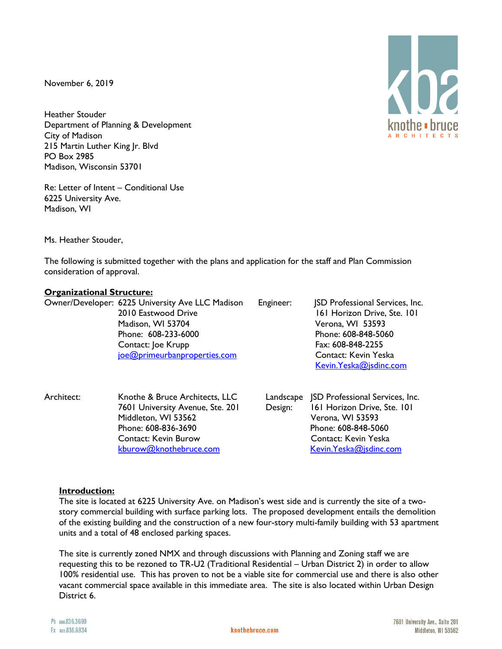November 6, 2019

Heather Stouder Department of Planning & Development City of Madison 215 Martin Luther King Jr. Blvd PO Box 2985 Madison, Wisconsin 53701

Re: Letter of Intent – Conditional Use 6225 University Ave. Madison, WI

Ms. Heather Stouder,

The following is submitted together with the plans and application for the staff and Plan Commission consideration of approval.

## **Organizational Structure:**

|  | Owner/Developer: 6225 University Ave LLC Madison | Engineer: | <b>JSD Professional Services, Inc.</b> |
|--|--------------------------------------------------|-----------|----------------------------------------|
|  | 2010 Eastwood Drive                              |           | 161 Horizon Drive, Ste. 101            |
|  | Madison, WI 53704                                |           | Verona, WI 53593                       |
|  | Phone: 608-233-6000                              |           | Phone: 608-848-5060                    |
|  | Contact: Joe Krupp                               |           | Fax: 608-848-2255                      |
|  | joe@primeurbanproperties.com                     |           | Contact: Kevin Yeska                   |
|  |                                                  |           | Kevin. Yeska@jsdinc.com                |
|  |                                                  |           |                                        |
|  |                                                  |           |                                        |

Architect: Knothe & Bruce Architects, LLC Landscape JSD Professional Services, Inc. Middleton, WI 53562 Verona, WI 53593 Phone: 608-836-3690 Phone: 608-848-5060 Contact: Kevin Burow Contact: Kevin Yeska [kburow@knothebruce.com](mailto:kburow@knothebruce.com) [Kevin.Yeska@jsdinc.com](mailto:Kevin.Yeska@jsdinc.com)

7601 University Avenue, Ste. 201 Design: 161 Horizon Drive, Ste. 101

#### **Introduction:**

The site is located at 6225 University Ave. on Madison's west side and is currently the site of a twostory commercial building with surface parking lots. The proposed development entails the demolition of the existing building and the construction of a new four-story multi-family building with 53 apartment units and a total of 48 enclosed parking spaces.

The site is currently zoned NMX and through discussions with Planning and Zoning staff we are requesting this to be rezoned to TR-U2 (Traditional Residential – Urban District 2) in order to allow 100% residential use. This has proven to not be a viable site for commercial use and there is also other vacant commercial space available in this immediate area. The site is also located within Urban Design District 6.

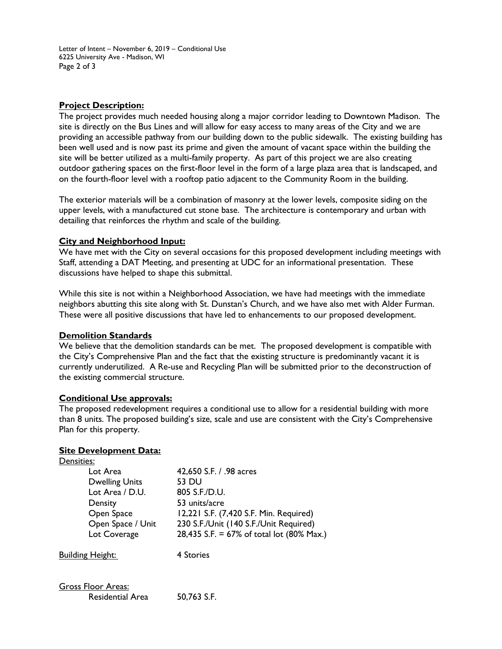Letter of Intent – November 6, 2019 – Conditional Use 6225 University Ave - Madison, WI Page 2 of 3

## **Project Description:**

The project provides much needed housing along a major corridor leading to Downtown Madison. The site is directly on the Bus Lines and will allow for easy access to many areas of the City and we are providing an accessible pathway from our building down to the public sidewalk. The existing building has been well used and is now past its prime and given the amount of vacant space within the building the site will be better utilized as a multi-family property. As part of this project we are also creating outdoor gathering spaces on the first-floor level in the form of a large plaza area that is landscaped, and on the fourth-floor level with a rooftop patio adjacent to the Community Room in the building.

The exterior materials will be a combination of masonry at the lower levels, composite siding on the upper levels, with a manufactured cut stone base. The architecture is contemporary and urban with detailing that reinforces the rhythm and scale of the building.

## **City and Neighborhood Input:**

We have met with the City on several occasions for this proposed development including meetings with Staff, attending a DAT Meeting, and presenting at UDC for an informational presentation. These discussions have helped to shape this submittal.

While this site is not within a Neighborhood Association, we have had meetings with the immediate neighbors abutting this site along with St. Dunstan's Church, and we have also met with Alder Furman. These were all positive discussions that have led to enhancements to our proposed development.

#### **Demolition Standards**

We believe that the demolition standards can be met. The proposed development is compatible with the City's Comprehensive Plan and the fact that the existing structure is predominantly vacant it is currently underutilized. A Re-use and Recycling Plan will be submitted prior to the deconstruction of the existing commercial structure.

#### **Conditional Use approvals:**

The proposed redevelopment requires a conditional use to allow for a residential building with more than 8 units. The proposed building's size, scale and use are consistent with the City's Comprehensive Plan for this property.

#### **Site Development Data:**

| Densities:                                           |                                           |
|------------------------------------------------------|-------------------------------------------|
| Lot Area                                             | 42,650 S.F. / .98 acres                   |
| <b>Dwelling Units</b>                                | 53 DU                                     |
| Lot Area / D.U.                                      | 805 S.F./D.U.                             |
| Density                                              | 53 units/acre                             |
| Open Space                                           | 12,221 S.F. (7,420 S.F. Min. Required)    |
| Open Space / Unit                                    | 230 S.F./Unit (140 S.F./Unit Required)    |
| Lot Coverage                                         | 28,435 S.F. = 67% of total lot (80% Max.) |
| <b>Building Height:</b>                              | 4 Stories                                 |
| <b>Gross Floor Areas:</b><br><b>Residential Area</b> | 50,763 S.F.                               |
|                                                      |                                           |